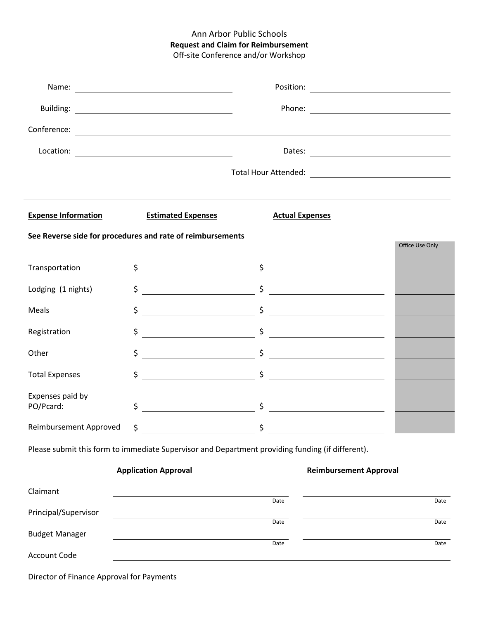## Ann Arbor Public Schools **Request and Claim for Reimbursement** Off-site Conference and/or Workshop

|                                                                                                  | $\begin{picture}(150,10) \put(0,0){\vector(1,0){100}} \put(15,0){\vector(1,0){100}} \put(15,0){\vector(1,0){100}} \put(15,0){\vector(1,0){100}} \put(15,0){\vector(1,0){100}} \put(15,0){\vector(1,0){100}} \put(15,0){\vector(1,0){100}} \put(15,0){\vector(1,0){100}} \put(15,0){\vector(1,0){100}} \put(15,0){\vector(1,0){100}} \put(15,0){\vector(1,0){100}}$ |                                                                                                                                                                                                                                                                                                                     |      |  |  |  |  |
|--------------------------------------------------------------------------------------------------|--------------------------------------------------------------------------------------------------------------------------------------------------------------------------------------------------------------------------------------------------------------------------------------------------------------------------------------------------------------------|---------------------------------------------------------------------------------------------------------------------------------------------------------------------------------------------------------------------------------------------------------------------------------------------------------------------|------|--|--|--|--|
|                                                                                                  |                                                                                                                                                                                                                                                                                                                                                                    |                                                                                                                                                                                                                                                                                                                     |      |  |  |  |  |
|                                                                                                  |                                                                                                                                                                                                                                                                                                                                                                    |                                                                                                                                                                                                                                                                                                                     |      |  |  |  |  |
| <b>Expense Information</b>                                                                       | <b>Estimated Expenses</b>                                                                                                                                                                                                                                                                                                                                          | <b>Actual Expenses</b>                                                                                                                                                                                                                                                                                              |      |  |  |  |  |
| See Reverse side for procedures and rate of reimbursements<br>Office Use Only                    |                                                                                                                                                                                                                                                                                                                                                                    |                                                                                                                                                                                                                                                                                                                     |      |  |  |  |  |
| Transportation                                                                                   |                                                                                                                                                                                                                                                                                                                                                                    | $\frac{1}{2}$ $\frac{1}{2}$ $\frac{1}{2}$ $\frac{1}{2}$ $\frac{1}{2}$ $\frac{1}{2}$ $\frac{1}{2}$ $\frac{1}{2}$ $\frac{1}{2}$ $\frac{1}{2}$ $\frac{1}{2}$ $\frac{1}{2}$ $\frac{1}{2}$ $\frac{1}{2}$ $\frac{1}{2}$ $\frac{1}{2}$ $\frac{1}{2}$ $\frac{1}{2}$ $\frac{1}{2}$ $\frac{1}{2}$ $\frac{1}{2}$ $\frac{1}{2}$ |      |  |  |  |  |
| Lodging (1 nights)                                                                               |                                                                                                                                                                                                                                                                                                                                                                    |                                                                                                                                                                                                                                                                                                                     |      |  |  |  |  |
| Meals                                                                                            | \$                                                                                                                                                                                                                                                                                                                                                                 |                                                                                                                                                                                                                                                                                                                     |      |  |  |  |  |
| Registration                                                                                     | \$                                                                                                                                                                                                                                                                                                                                                                 |                                                                                                                                                                                                                                                                                                                     |      |  |  |  |  |
| Other                                                                                            | \$                                                                                                                                                                                                                                                                                                                                                                 |                                                                                                                                                                                                                                                                                                                     |      |  |  |  |  |
| <b>Total Expenses</b>                                                                            | \$                                                                                                                                                                                                                                                                                                                                                                 |                                                                                                                                                                                                                                                                                                                     |      |  |  |  |  |
| Expenses paid by<br>PO/Pcard:                                                                    | \$                                                                                                                                                                                                                                                                                                                                                                 | $\frac{1}{2}$                                                                                                                                                                                                                                                                                                       |      |  |  |  |  |
|                                                                                                  |                                                                                                                                                                                                                                                                                                                                                                    | \$                                                                                                                                                                                                                                                                                                                  |      |  |  |  |  |
| Please submit this form to immediate Supervisor and Department providing funding (if different). |                                                                                                                                                                                                                                                                                                                                                                    |                                                                                                                                                                                                                                                                                                                     |      |  |  |  |  |
| <b>Application Approval</b><br><b>Reimbursement Approval</b>                                     |                                                                                                                                                                                                                                                                                                                                                                    |                                                                                                                                                                                                                                                                                                                     |      |  |  |  |  |
| Claimant                                                                                         |                                                                                                                                                                                                                                                                                                                                                                    | Date                                                                                                                                                                                                                                                                                                                | Date |  |  |  |  |
| Principal/Supervisor                                                                             |                                                                                                                                                                                                                                                                                                                                                                    |                                                                                                                                                                                                                                                                                                                     |      |  |  |  |  |
| <b>Budget Manager</b>                                                                            |                                                                                                                                                                                                                                                                                                                                                                    | Date                                                                                                                                                                                                                                                                                                                | Date |  |  |  |  |
| Account Code                                                                                     |                                                                                                                                                                                                                                                                                                                                                                    | Date                                                                                                                                                                                                                                                                                                                | Date |  |  |  |  |
| Director of Finance Approval for Payments                                                        |                                                                                                                                                                                                                                                                                                                                                                    |                                                                                                                                                                                                                                                                                                                     |      |  |  |  |  |